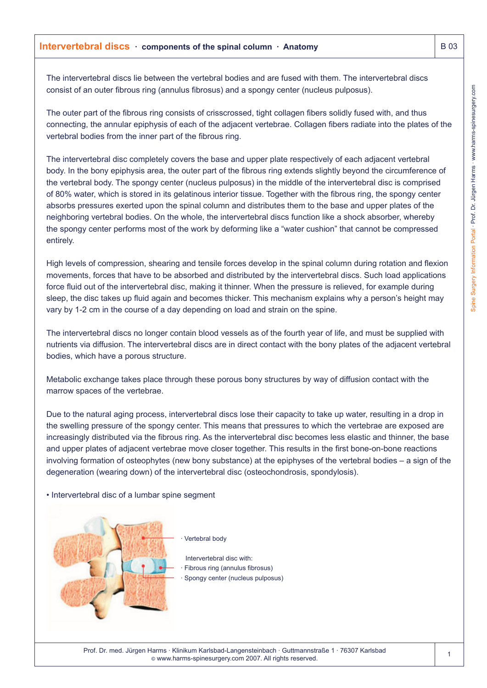## **Intervertebral discs components of the spinal column · Anatomy B 03** B 03

The intervertebral discs lie between the vertebral bodies and are fused with them. The intervertebral discs consist of an outer fibrous ring (annulus fibrosus) and a spongy center (nucleus pulposus).

The outer part of the fibrous ring consists of crisscrossed, tight collagen fibers solidly fused with, and thus connecting, the annular epiphysis of each of the adjacent vertebrae. Collagen fibers radiate into the plates of the vertebral bodies from the inner part of the fibrous ring.

The intervertebral disc completely covers the base and upper plate respectively of each adjacent vertebral body. In the bony epiphysis area, the outer part of the fibrous ring extends slightly beyond the circumference of the vertebral body. The spongy center (nucleus pulposus) in the middle of the intervertebral disc is comprised of 80% water, which is stored in its gelatinous interior tissue. Together with the fibrous ring, the spongy center absorbs pressures exerted upon the spinal column and distributes them to the base and upper plates of the neighboring vertebral bodies. On the whole, the intervertebral discs function like a shock absorber, whereby the spongy center performs most of the work by deforming like a "water cushion" that cannot be compressed entirely.

High levels of compression, shearing and tensile forces develop in the spinal column during rotation and flexion movements, forces that have to be absorbed and distributed by the intervertebral discs. Such load applications force fluid out of the intervertebral disc, making it thinner. When the pressure is relieved, for example during sleep, the disc takes up fluid again and becomes thicker. This mechanism explains why a person's height may vary by 1-2 cm in the course of a day depending on load and strain on the spine.

The intervertebral discs no longer contain blood vessels as of the fourth year of life, and must be supplied with nutrients via diffusion. The intervertebral discs are in direct contact with the bony plates of the adjacent vertebral bodies, which have a porous structure.

Metabolic exchange takes place through these porous bony structures by way of diffusion contact with the marrow spaces of the vertebrae.

Due to the natural aging process, intervertebral discs lose their capacity to take up water, resulting in a drop in the swelling pressure of the spongy center. This means that pressures to which the vertebrae are exposed are increasingly distributed via the fibrous ring. As the intervertebral disc becomes less elastic and thinner, the base and upper plates of adjacent vertebrae move closer together. This results in the first bone-on-bone reactions involving formation of osteophytes (new bony substance) at the epiphyses of the vertebral bodies – a sign of the degeneration (wearing down) of the intervertebral disc (osteochondrosis, spondylosis).

## • Intervertebral disc of a lumbar spine segment



Vertebral body

Intervertebral disc with: Fibrous ring (annulus fibrosus) · Spongy center (nucleus pulposus)